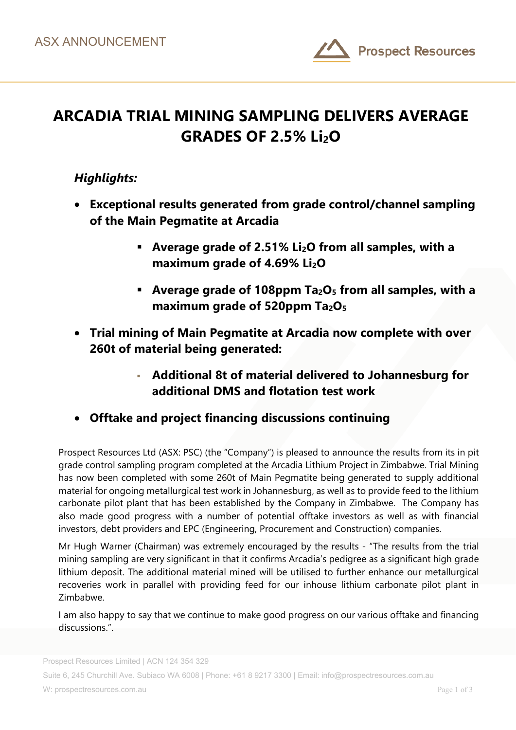

# **ARCADIA TRIAL MINING SAMPLING DELIVERS AVERAGE GRADES OF 2.5% Li2O**

### *Highlights:*

- **Exceptional results generated from grade control/channel sampling of the Main Pegmatite at Arcadia** 
	- **Average grade of 2.51% Li2O from all samples, with a maximum grade of 4.69% Li<sub>2</sub>O**
	- **Average grade of 108ppm Ta2O5 from all samples, with a maximum grade of 520ppm Ta2O5**
- **Trial mining of Main Pegmatite at Arcadia now complete with over 260t of material being generated:** 
	- **Additional 8t of material delivered to Johannesburg for additional DMS and flotation test work**
- **Offtake and project financing discussions continuing**

Prospect Resources Ltd (ASX: PSC) (the "Company") is pleased to announce the results from its in pit grade control sampling program completed at the Arcadia Lithium Project in Zimbabwe. Trial Mining has now been completed with some 260t of Main Pegmatite being generated to supply additional material for ongoing metallurgical test work in Johannesburg, as well as to provide feed to the lithium carbonate pilot plant that has been established by the Company in Zimbabwe. The Company has also made good progress with a number of potential offtake investors as well as with financial investors, debt providers and EPC (Engineering, Procurement and Construction) companies.

Mr Hugh Warner (Chairman) was extremely encouraged by the results - "The results from the trial mining sampling are very significant in that it confirms Arcadia's pedigree as a significant high grade lithium deposit. The additional material mined will be utilised to further enhance our metallurgical recoveries work in parallel with providing feed for our inhouse lithium carbonate pilot plant in Zimbabwe.

I am also happy to say that we continue to make good progress on our various offtake and financing discussions.".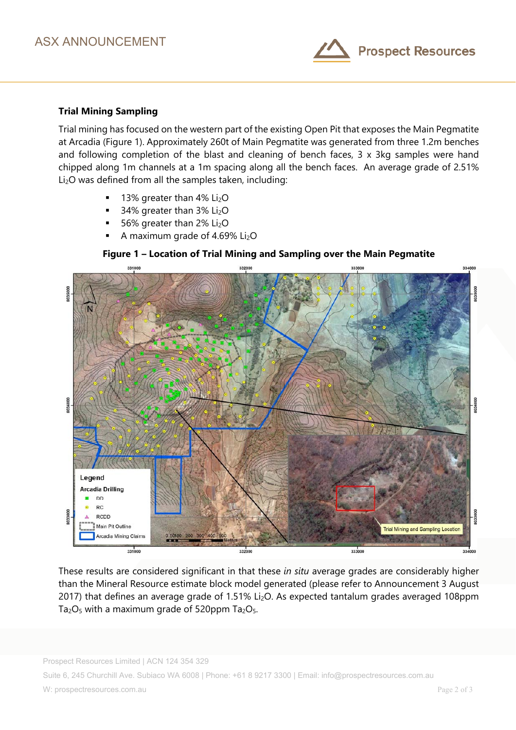

#### **Trial Mining Sampling**

Trial mining has focused on the western part of the existing Open Pit that exposes the Main Pegmatite at Arcadia (Figure 1). Approximately 260t of Main Pegmatite was generated from three 1.2m benches and following completion of the blast and cleaning of bench faces, 3 x 3kg samples were hand chipped along 1m channels at a 1m spacing along all the bench faces. An average grade of 2.51% Li<sub>2</sub>O was defined from all the samples taken, including:

- 13% greater than 4% Li2O
- $\blacksquare$  34% greater than 3% Li<sub>2</sub>O
- $\blacksquare$  56% greater than 2% Li<sub>2</sub>O
- A maximum grade of 4.69% Li<sub>2</sub>O



**Figure 1 – Location of Trial Mining and Sampling over the Main Pegmatite** 

These results are considered significant in that these *in situ* average grades are considerably higher than the Mineral Resource estimate block model generated (please refer to Announcement 3 August 2017) that defines an average grade of 1.51% Li<sub>2</sub>O. As expected tantalum grades averaged 108ppm  $Ta<sub>2</sub>O<sub>5</sub>$  with a maximum grade of 520ppm  $Ta<sub>2</sub>O<sub>5</sub>$ .

Suite 6, 245 Churchill Ave. Subiaco WA 6008 | Phone: +61 8 9217 3300 | Email: info@prospectresources.com.au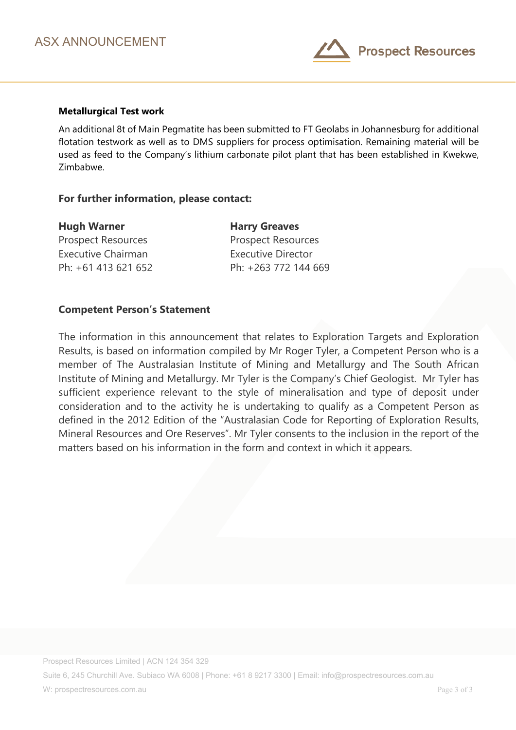

#### **Metallurgical Test work**

An additional 8t of Main Pegmatite has been submitted to FT Geolabs in Johannesburg for additional flotation testwork as well as to DMS suppliers for process optimisation. Remaining material will be used as feed to the Company's lithium carbonate pilot plant that has been established in Kwekwe, Zimbabwe.

#### **For further information, please contact:**

| <b>Hugh Warner</b>        | <b>Harry Greaves</b>      |
|---------------------------|---------------------------|
| <b>Prospect Resources</b> | <b>Prospect Resources</b> |
| Executive Chairman        | <b>Executive Director</b> |
| Ph: +61 413 621 652       | Ph: +263 772 144 669      |

#### **Competent Person's Statement**

The information in this announcement that relates to Exploration Targets and Exploration Results, is based on information compiled by Mr Roger Tyler, a Competent Person who is a member of The Australasian Institute of Mining and Metallurgy and The South African Institute of Mining and Metallurgy. Mr Tyler is the Company's Chief Geologist. Mr Tyler has sufficient experience relevant to the style of mineralisation and type of deposit under consideration and to the activity he is undertaking to qualify as a Competent Person as defined in the 2012 Edition of the "Australasian Code for Reporting of Exploration Results, Mineral Resources and Ore Reserves". Mr Tyler consents to the inclusion in the report of the matters based on his information in the form and context in which it appears.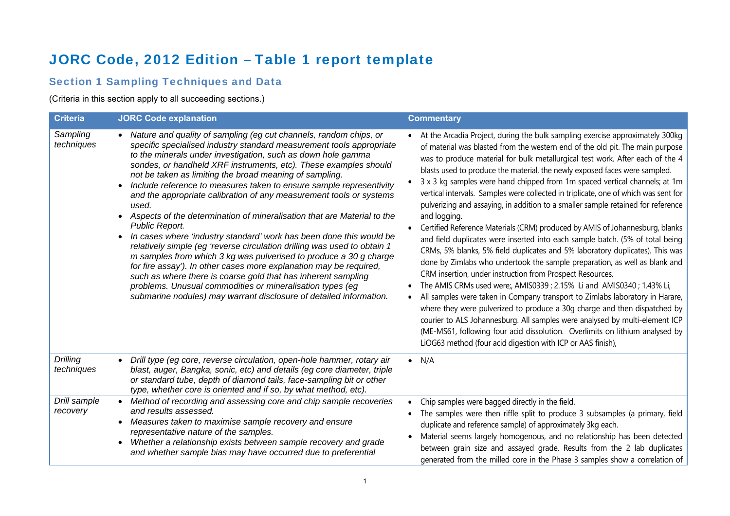# JORC Code, 2012 Edition – Table 1 report template

### Section 1 Sampling Techniques and Data

(Criteria in this section apply to all succeeding sections.)

| <b>Criteria</b>               | <b>JORC Code explanation</b>                                                                                                                                                                                                                                                                                                                                                                                                                                                                                                                                                                                                                                                                                                                                                                                                                                                                                                                                                                                                                                                                   | <b>Commentary</b>                                                                                                                                                                                                                                                                                                                                                                                                                                                                                                                                                                                                                                                                                                                                                                                                                                                                                                                                                                                                                                                                                                                                                                                                                                                                                                                                                                                                                                                     |
|-------------------------------|------------------------------------------------------------------------------------------------------------------------------------------------------------------------------------------------------------------------------------------------------------------------------------------------------------------------------------------------------------------------------------------------------------------------------------------------------------------------------------------------------------------------------------------------------------------------------------------------------------------------------------------------------------------------------------------------------------------------------------------------------------------------------------------------------------------------------------------------------------------------------------------------------------------------------------------------------------------------------------------------------------------------------------------------------------------------------------------------|-----------------------------------------------------------------------------------------------------------------------------------------------------------------------------------------------------------------------------------------------------------------------------------------------------------------------------------------------------------------------------------------------------------------------------------------------------------------------------------------------------------------------------------------------------------------------------------------------------------------------------------------------------------------------------------------------------------------------------------------------------------------------------------------------------------------------------------------------------------------------------------------------------------------------------------------------------------------------------------------------------------------------------------------------------------------------------------------------------------------------------------------------------------------------------------------------------------------------------------------------------------------------------------------------------------------------------------------------------------------------------------------------------------------------------------------------------------------------|
| Sampling<br>techniques        | Nature and quality of sampling (eg cut channels, random chips, or<br>specific specialised industry standard measurement tools appropriate<br>to the minerals under investigation, such as down hole gamma<br>sondes, or handheld XRF instruments, etc). These examples should<br>not be taken as limiting the broad meaning of sampling.<br>Include reference to measures taken to ensure sample representivity<br>and the appropriate calibration of any measurement tools or systems<br>used.<br>Aspects of the determination of mineralisation that are Material to the<br>Public Report.<br>In cases where 'industry standard' work has been done this would be<br>relatively simple (eg 'reverse circulation drilling was used to obtain 1<br>m samples from which 3 kg was pulverised to produce a 30 g charge<br>for fire assay'). In other cases more explanation may be required,<br>such as where there is coarse gold that has inherent sampling<br>problems. Unusual commodities or mineralisation types (eg<br>submarine nodules) may warrant disclosure of detailed information. | At the Arcadia Project, during the bulk sampling exercise approximately 300kg<br>of material was blasted from the western end of the old pit. The main purpose<br>was to produce material for bulk metallurgical test work. After each of the 4<br>blasts used to produce the material, the newly exposed faces were sampled.<br>3 x 3 kg samples were hand chipped from 1m spaced vertical channels; at 1m<br>vertical intervals. Samples were collected in triplicate, one of which was sent for<br>pulverizing and assaying, in addition to a smaller sample retained for reference<br>and logging.<br>Certified Reference Materials (CRM) produced by AMIS of Johannesburg, blanks<br>and field duplicates were inserted into each sample batch. (5% of total being<br>CRMs, 5% blanks, 5% field duplicates and 5% laboratory duplicates). This was<br>done by Zimlabs who undertook the sample preparation, as well as blank and<br>CRM insertion, under instruction from Prospect Resources.<br>The AMIS CRMs used were;, AMIS0339; 2.15% Li and AMIS0340; 1.43% Li,<br>All samples were taken in Company transport to Zimlabs laboratory in Harare,<br>where they were pulverized to produce a 30g charge and then dispatched by<br>courier to ALS Johannesburg. All samples were analysed by multi-element ICP<br>(ME-MS61, following four acid dissolution. Overlimits on lithium analysed by<br>LiOG63 method (four acid digestion with ICP or AAS finish), |
| <b>Drilling</b><br>techniques | Drill type (eg core, reverse circulation, open-hole hammer, rotary air<br>$\bullet$<br>blast, auger, Bangka, sonic, etc) and details (eg core diameter, triple<br>or standard tube, depth of diamond tails, face-sampling bit or other<br>type, whether core is oriented and if so, by what method, etc).                                                                                                                                                                                                                                                                                                                                                                                                                                                                                                                                                                                                                                                                                                                                                                                      | $\bullet$ N/A                                                                                                                                                                                                                                                                                                                                                                                                                                                                                                                                                                                                                                                                                                                                                                                                                                                                                                                                                                                                                                                                                                                                                                                                                                                                                                                                                                                                                                                         |
| Drill sample<br>recovery      | Method of recording and assessing core and chip sample recoveries<br>$\bullet$<br>and results assessed.<br>Measures taken to maximise sample recovery and ensure<br>$\bullet$<br>representative nature of the samples.<br>Whether a relationship exists between sample recovery and grade<br>and whether sample bias may have occurred due to preferential                                                                                                                                                                                                                                                                                                                                                                                                                                                                                                                                                                                                                                                                                                                                     | Chip samples were bagged directly in the field.<br>The samples were then riffle split to produce 3 subsamples (a primary, field<br>duplicate and reference sample) of approximately 3kg each.<br>Material seems largely homogenous, and no relationship has been detected<br>between grain size and assayed grade. Results from the 2 lab duplicates<br>generated from the milled core in the Phase 3 samples show a correlation of                                                                                                                                                                                                                                                                                                                                                                                                                                                                                                                                                                                                                                                                                                                                                                                                                                                                                                                                                                                                                                   |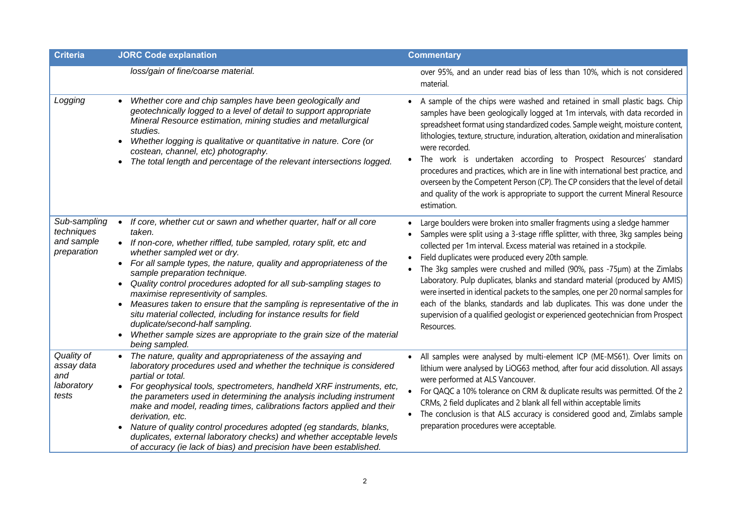| <b>Criteria</b>                                         | <b>JORC Code explanation</b>                                                                                                                                                                                                                                                                                                                                                                                                                                                                                                                                                                                                                                                                                                            | <b>Commentary</b>                                                                                                                                                                                                                                                                                                                                                                                                                                                                                                                                                                                                                                                                                                          |
|---------------------------------------------------------|-----------------------------------------------------------------------------------------------------------------------------------------------------------------------------------------------------------------------------------------------------------------------------------------------------------------------------------------------------------------------------------------------------------------------------------------------------------------------------------------------------------------------------------------------------------------------------------------------------------------------------------------------------------------------------------------------------------------------------------------|----------------------------------------------------------------------------------------------------------------------------------------------------------------------------------------------------------------------------------------------------------------------------------------------------------------------------------------------------------------------------------------------------------------------------------------------------------------------------------------------------------------------------------------------------------------------------------------------------------------------------------------------------------------------------------------------------------------------------|
|                                                         | loss/gain of fine/coarse material.                                                                                                                                                                                                                                                                                                                                                                                                                                                                                                                                                                                                                                                                                                      | over 95%, and an under read bias of less than 10%, which is not considered<br>material.                                                                                                                                                                                                                                                                                                                                                                                                                                                                                                                                                                                                                                    |
| Logging                                                 | Whether core and chip samples have been geologically and<br>geotechnically logged to a level of detail to support appropriate<br>Mineral Resource estimation, mining studies and metallurgical<br>studies.<br>Whether logging is qualitative or quantitative in nature. Core (or<br>costean, channel, etc) photography.<br>The total length and percentage of the relevant intersections logged.                                                                                                                                                                                                                                                                                                                                        | A sample of the chips were washed and retained in small plastic bags. Chip<br>samples have been geologically logged at 1m intervals, with data recorded in<br>spreadsheet format using standardized codes. Sample weight, moisture content,<br>lithologies, texture, structure, induration, alteration, oxidation and mineralisation<br>were recorded.<br>The work is undertaken according to Prospect Resources' standard<br>$\bullet$<br>procedures and practices, which are in line with international best practice, and<br>overseen by the Competent Person (CP). The CP considers that the level of detail<br>and quality of the work is appropriate to support the current Mineral Resource<br>estimation.          |
| Sub-sampling<br>techniques<br>and sample<br>preparation | If core, whether cut or sawn and whether quarter, half or all core<br>$\bullet$<br>taken.<br>If non-core, whether riffled, tube sampled, rotary split, etc and<br>whether sampled wet or dry.<br>For all sample types, the nature, quality and appropriateness of the<br>$\bullet$<br>sample preparation technique.<br>Quality control procedures adopted for all sub-sampling stages to<br>$\bullet$<br>maximise representivity of samples.<br>Measures taken to ensure that the sampling is representative of the in<br>$\bullet$<br>situ material collected, including for instance results for field<br>duplicate/second-half sampling.<br>Whether sample sizes are appropriate to the grain size of the material<br>being sampled. | Large boulders were broken into smaller fragments using a sledge hammer<br>Samples were split using a 3-stage riffle splitter, with three, 3kg samples being<br>collected per 1m interval. Excess material was retained in a stockpile.<br>Field duplicates were produced every 20th sample.<br>The 3kg samples were crushed and milled (90%, pass -75µm) at the Zimlabs<br>Laboratory. Pulp duplicates, blanks and standard material (produced by AMIS)<br>were inserted in identical packets to the samples, one per 20 normal samples for<br>each of the blanks, standards and lab duplicates. This was done under the<br>supervision of a qualified geologist or experienced geotechnician from Prospect<br>Resources. |
| Quality of<br>assay data<br>and<br>laboratory<br>tests  | The nature, quality and appropriateness of the assaying and<br>laboratory procedures used and whether the technique is considered<br>partial or total.<br>For geophysical tools, spectrometers, handheld XRF instruments, etc,<br>the parameters used in determining the analysis including instrument<br>make and model, reading times, calibrations factors applied and their<br>derivation, etc.<br>Nature of quality control procedures adopted (eg standards, blanks,<br>$\bullet$<br>duplicates, external laboratory checks) and whether acceptable levels<br>of accuracy (ie lack of bias) and precision have been established.                                                                                                  | All samples were analysed by multi-element ICP (ME-MS61). Over limits on<br>lithium were analysed by LiOG63 method, after four acid dissolution. All assays<br>were performed at ALS Vancouver.<br>For QAQC a 10% tolerance on CRM & duplicate results was permitted. Of the 2<br>CRMs, 2 field duplicates and 2 blank all fell within acceptable limits<br>The conclusion is that ALS accuracy is considered good and, Zimlabs sample<br>$\bullet$<br>preparation procedures were acceptable.                                                                                                                                                                                                                             |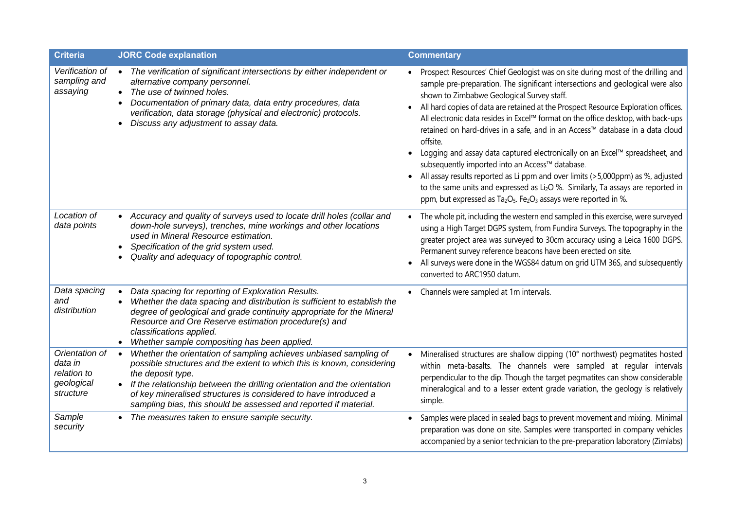| <b>Criteria</b>                                                     | <b>JORC Code explanation</b>                                                                                                                                                                                                                                                                                                                                                                      | <b>Commentary</b>                                                                                                                                                                                                                                                                                                                                                                                                                                                                                                                                                                                                                                                                                                                                                                                                                                                                                                                      |
|---------------------------------------------------------------------|---------------------------------------------------------------------------------------------------------------------------------------------------------------------------------------------------------------------------------------------------------------------------------------------------------------------------------------------------------------------------------------------------|----------------------------------------------------------------------------------------------------------------------------------------------------------------------------------------------------------------------------------------------------------------------------------------------------------------------------------------------------------------------------------------------------------------------------------------------------------------------------------------------------------------------------------------------------------------------------------------------------------------------------------------------------------------------------------------------------------------------------------------------------------------------------------------------------------------------------------------------------------------------------------------------------------------------------------------|
| Verification of<br>sampling and<br>assaying                         | The verification of significant intersections by either independent or<br>alternative company personnel.<br>The use of twinned holes.<br>Documentation of primary data, data entry procedures, data<br>verification, data storage (physical and electronic) protocols.<br>Discuss any adjustment to assay data.                                                                                   | Prospect Resources' Chief Geologist was on site during most of the drilling and<br>sample pre-preparation. The significant intersections and geological were also<br>shown to Zimbabwe Geological Survey staff.<br>All hard copies of data are retained at the Prospect Resource Exploration offices.<br>All electronic data resides in Excel™ format on the office desktop, with back-ups<br>retained on hard-drives in a safe, and in an Access™ database in a data cloud<br>offsite.<br>Logging and assay data captured electronically on an Excel™ spreadsheet, and<br>$\bullet$<br>subsequently imported into an Access™ database.<br>All assay results reported as Li ppm and over limits (>5,000ppm) as %, adjusted<br>$\bullet$<br>to the same units and expressed as Li <sub>2</sub> O %. Similarly, Ta assays are reported in<br>ppm, but expressed as $Ta_2O_5$ . Fe <sub>2</sub> O <sub>3</sub> assays were reported in %. |
| Location of<br>data points                                          | • Accuracy and quality of surveys used to locate drill holes (collar and<br>down-hole surveys), trenches, mine workings and other locations<br>used in Mineral Resource estimation.<br>Specification of the grid system used.<br>Quality and adequacy of topographic control.                                                                                                                     | The whole pit, including the western end sampled in this exercise, were surveyed<br>$\bullet$<br>using a High Target DGPS system, from Fundira Surveys. The topography in the<br>greater project area was surveyed to 30cm accuracy using a Leica 1600 DGPS.<br>Permanent survey reference beacons have been erected on site.<br>All surveys were done in the WGS84 datum on grid UTM 36S, and subsequently<br>$\bullet$<br>converted to ARC1950 datum.                                                                                                                                                                                                                                                                                                                                                                                                                                                                                |
| Data spacing<br>and<br>distribution                                 | Data spacing for reporting of Exploration Results.<br>Whether the data spacing and distribution is sufficient to establish the<br>degree of geological and grade continuity appropriate for the Mineral<br>Resource and Ore Reserve estimation procedure(s) and<br>classifications applied.<br>Whether sample compositing has been applied.                                                       | Channels were sampled at 1m intervals.                                                                                                                                                                                                                                                                                                                                                                                                                                                                                                                                                                                                                                                                                                                                                                                                                                                                                                 |
| Orientation of<br>data in<br>relation to<br>geological<br>structure | Whether the orientation of sampling achieves unbiased sampling of<br>$\bullet$<br>possible structures and the extent to which this is known, considering<br>the deposit type.<br>If the relationship between the drilling orientation and the orientation<br>of key mineralised structures is considered to have introduced a<br>sampling bias, this should be assessed and reported if material. | Mineralised structures are shallow dipping (10° northwest) pegmatites hosted<br>$\bullet$<br>within meta-basalts. The channels were sampled at regular intervals<br>perpendicular to the dip. Though the target pegmatites can show considerable<br>mineralogical and to a lesser extent grade variation, the geology is relatively<br>simple.                                                                                                                                                                                                                                                                                                                                                                                                                                                                                                                                                                                         |
| Sample<br>security                                                  | • The measures taken to ensure sample security.                                                                                                                                                                                                                                                                                                                                                   | Samples were placed in sealed bags to prevent movement and mixing. Minimal<br>preparation was done on site. Samples were transported in company vehicles<br>accompanied by a senior technician to the pre-preparation laboratory (Zimlabs)                                                                                                                                                                                                                                                                                                                                                                                                                                                                                                                                                                                                                                                                                             |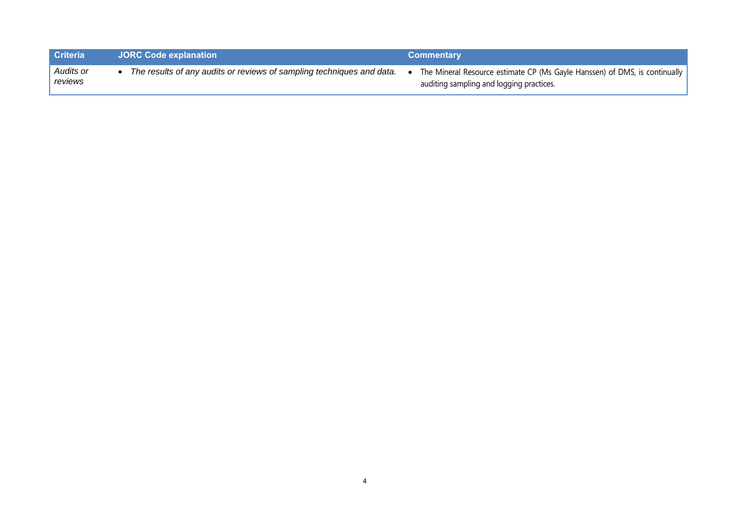| <b>Criteria</b>      | <b>JORC Code explanation</b>                                          | <b>Commentary</b>                                                                                                        |
|----------------------|-----------------------------------------------------------------------|--------------------------------------------------------------------------------------------------------------------------|
| Audits or<br>reviews | The results of any audits or reviews of sampling techniques and data. | The Mineral Resource estimate CP (Ms Gayle Hanssen) of DMS, is continually  <br>auditing sampling and logging practices. |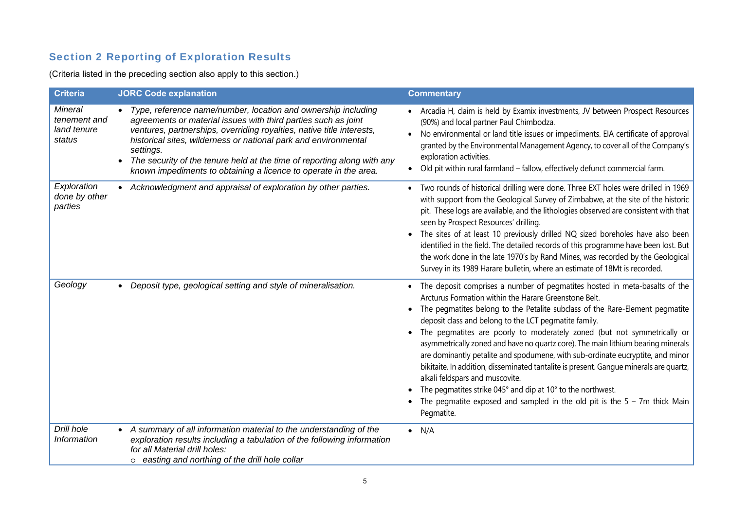## Section 2 Reporting of Exploration Results

(Criteria listed in the preceding section also apply to this section.)

| <b>Criteria</b>                                         | <b>JORC Code explanation</b>                                                                                                                                                                                                                                                                                                                                                                                                              | <b>Commentary</b>                                                                                                                                                                                                                                                                                                                                                                                                                                                                                                                                                                                                                                                                                                                                                                                                        |
|---------------------------------------------------------|-------------------------------------------------------------------------------------------------------------------------------------------------------------------------------------------------------------------------------------------------------------------------------------------------------------------------------------------------------------------------------------------------------------------------------------------|--------------------------------------------------------------------------------------------------------------------------------------------------------------------------------------------------------------------------------------------------------------------------------------------------------------------------------------------------------------------------------------------------------------------------------------------------------------------------------------------------------------------------------------------------------------------------------------------------------------------------------------------------------------------------------------------------------------------------------------------------------------------------------------------------------------------------|
| <b>Mineral</b><br>tenement and<br>land tenure<br>status | • Type, reference name/number, location and ownership including<br>agreements or material issues with third parties such as joint<br>ventures, partnerships, overriding royalties, native title interests,<br>historical sites, wilderness or national park and environmental<br>settings.<br>The security of the tenure held at the time of reporting along with any<br>known impediments to obtaining a licence to operate in the area. | • Arcadia H, claim is held by Examix investments, JV between Prospect Resources<br>(90%) and local partner Paul Chimbodza.<br>No environmental or land title issues or impediments. EIA certificate of approval<br>granted by the Environmental Management Agency, to cover all of the Company's<br>exploration activities.<br>Old pit within rural farmland - fallow, effectively defunct commercial farm.                                                                                                                                                                                                                                                                                                                                                                                                              |
| Exploration<br>done by other<br>parties                 | Acknowledgment and appraisal of exploration by other parties.                                                                                                                                                                                                                                                                                                                                                                             | • Two rounds of historical drilling were done. Three EXT holes were drilled in 1969<br>with support from the Geological Survey of Zimbabwe, at the site of the historic<br>pit. These logs are available, and the lithologies observed are consistent with that<br>seen by Prospect Resources' drilling.<br>The sites of at least 10 previously drilled NQ sized boreholes have also been<br>identified in the field. The detailed records of this programme have been lost. But<br>the work done in the late 1970's by Rand Mines, was recorded by the Geological<br>Survey in its 1989 Harare bulletin, where an estimate of 18Mt is recorded.                                                                                                                                                                         |
| Geology                                                 | Deposit type, geological setting and style of mineralisation.                                                                                                                                                                                                                                                                                                                                                                             | • The deposit comprises a number of pegmatites hosted in meta-basalts of the<br>Arcturus Formation within the Harare Greenstone Belt.<br>The pegmatites belong to the Petalite subclass of the Rare-Element pegmatite<br>deposit class and belong to the LCT pegmatite family.<br>The pegmatites are poorly to moderately zoned (but not symmetrically or<br>asymmetrically zoned and have no quartz core). The main lithium bearing minerals<br>are dominantly petalite and spodumene, with sub-ordinate eucryptite, and minor<br>bikitaite. In addition, disseminated tantalite is present. Gangue minerals are quartz,<br>alkali feldspars and muscovite.<br>The pegmatites strike 045° and dip at 10° to the northwest.<br>The pegmatite exposed and sampled in the old pit is the $5 - 7m$ thick Main<br>Pegmatite. |
| Drill hole<br>Information                               | • A summary of all information material to the understanding of the<br>exploration results including a tabulation of the following information<br>for all Material drill holes:<br>o easting and northing of the drill hole collar                                                                                                                                                                                                        | $\bullet$ N/A                                                                                                                                                                                                                                                                                                                                                                                                                                                                                                                                                                                                                                                                                                                                                                                                            |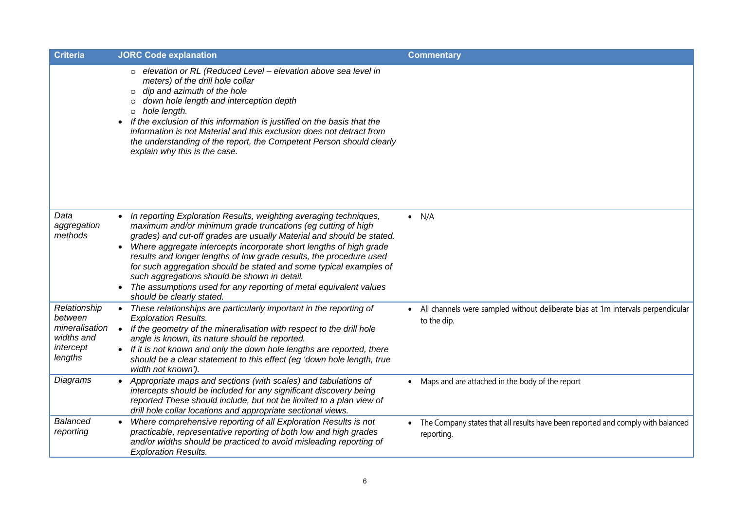| <b>Criteria</b>                                                                 | <b>JORC Code explanation</b>                                                                                                                                                                                                                                                                                                                                                                                                                                                                                                                                                                              | <b>Commentary</b>                                                                                           |
|---------------------------------------------------------------------------------|-----------------------------------------------------------------------------------------------------------------------------------------------------------------------------------------------------------------------------------------------------------------------------------------------------------------------------------------------------------------------------------------------------------------------------------------------------------------------------------------------------------------------------------------------------------------------------------------------------------|-------------------------------------------------------------------------------------------------------------|
|                                                                                 | elevation or RL (Reduced Level - elevation above sea level in<br>$\circ$<br>meters) of the drill hole collar<br>dip and azimuth of the hole<br>$\circ$<br>down hole length and interception depth<br>$\circ$<br>hole length.<br>$\circ$<br>• If the exclusion of this information is justified on the basis that the<br>information is not Material and this exclusion does not detract from<br>the understanding of the report, the Competent Person should clearly<br>explain why this is the case.                                                                                                     |                                                                                                             |
| Data<br>aggregation<br>methods                                                  | In reporting Exploration Results, weighting averaging techniques,<br>maximum and/or minimum grade truncations (eg cutting of high<br>grades) and cut-off grades are usually Material and should be stated.<br>Where aggregate intercepts incorporate short lengths of high grade<br>$\bullet$<br>results and longer lengths of low grade results, the procedure used<br>for such aggregation should be stated and some typical examples of<br>such aggregations should be shown in detail.<br>The assumptions used for any reporting of metal equivalent values<br>$\bullet$<br>should be clearly stated. | $\bullet$ N/A                                                                                               |
| Relationship<br>between<br>mineralisation<br>widths and<br>intercept<br>lengths | These relationships are particularly important in the reporting of<br>$\bullet$<br><b>Exploration Results.</b><br>If the geometry of the mineralisation with respect to the drill hole<br>$\bullet$<br>angle is known, its nature should be reported.<br>• If it is not known and only the down hole lengths are reported, there<br>should be a clear statement to this effect (eg 'down hole length, true<br>width not known').                                                                                                                                                                          | All channels were sampled without deliberate bias at 1m intervals perpendicular<br>$\bullet$<br>to the dip. |
| Diagrams                                                                        | Appropriate maps and sections (with scales) and tabulations of<br>intercepts should be included for any significant discovery being<br>reported These should include, but not be limited to a plan view of<br>drill hole collar locations and appropriate sectional views.                                                                                                                                                                                                                                                                                                                                | Maps and are attached in the body of the report                                                             |
| <b>Balanced</b><br>reporting                                                    | Where comprehensive reporting of all Exploration Results is not<br>practicable, representative reporting of both low and high grades<br>and/or widths should be practiced to avoid misleading reporting of<br><b>Exploration Results.</b>                                                                                                                                                                                                                                                                                                                                                                 | The Company states that all results have been reported and comply with balanced<br>reporting.               |